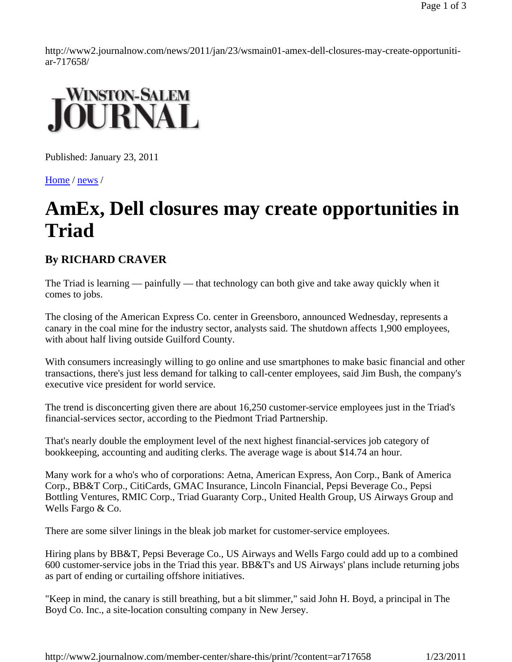http://www2.journalnow.com/news/2011/jan/23/wsmain01-amex-dell-closures-may-create-opportunitiar-717658/



Published: January 23, 2011

Home / news /

# **AmEx, Dell closures may create opportunities in Triad**

## **By RICHARD CRAVER**

The Triad is learning — painfully — that technology can both give and take away quickly when it comes to jobs.

The closing of the American Express Co. center in Greensboro, announced Wednesday, represents a canary in the coal mine for the industry sector, analysts said. The shutdown affects 1,900 employees, with about half living outside Guilford County.

With consumers increasingly willing to go online and use smartphones to make basic financial and other transactions, there's just less demand for talking to call-center employees, said Jim Bush, the company's executive vice president for world service.

The trend is disconcerting given there are about 16,250 customer-service employees just in the Triad's financial-services sector, according to the Piedmont Triad Partnership.

That's nearly double the employment level of the next highest financial-services job category of bookkeeping, accounting and auditing clerks. The average wage is about \$14.74 an hour.

Many work for a who's who of corporations: Aetna, American Express, Aon Corp., Bank of America Corp., BB&T Corp., CitiCards, GMAC Insurance, Lincoln Financial, Pepsi Beverage Co., Pepsi Bottling Ventures, RMIC Corp., Triad Guaranty Corp., United Health Group, US Airways Group and Wells Fargo & Co.

There are some silver linings in the bleak job market for customer-service employees.

Hiring plans by BB&T, Pepsi Beverage Co., US Airways and Wells Fargo could add up to a combined 600 customer-service jobs in the Triad this year. BB&T's and US Airways' plans include returning jobs as part of ending or curtailing offshore initiatives.

"Keep in mind, the canary is still breathing, but a bit slimmer," said John H. Boyd, a principal in The Boyd Co. Inc., a site-location consulting company in New Jersey.

http://www2.journalnow.com/member-center/share-this/print/?content=ar717658 1/23/2011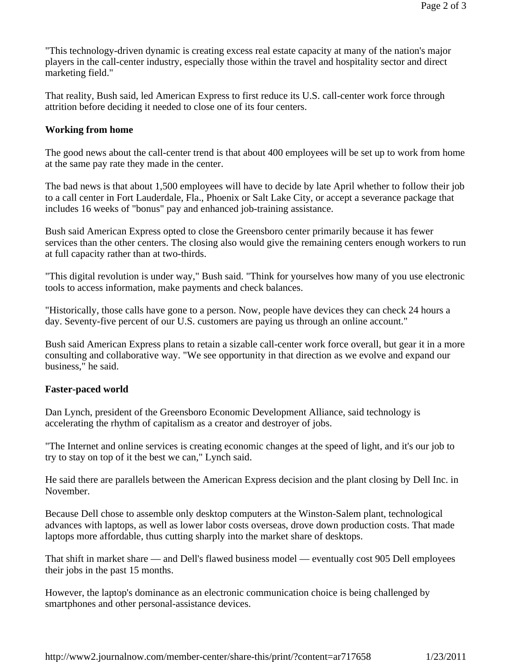"This technology-driven dynamic is creating excess real estate capacity at many of the nation's major players in the call-center industry, especially those within the travel and hospitality sector and direct marketing field."

That reality, Bush said, led American Express to first reduce its U.S. call-center work force through attrition before deciding it needed to close one of its four centers.

### **Working from home**

The good news about the call-center trend is that about 400 employees will be set up to work from home at the same pay rate they made in the center.

The bad news is that about 1,500 employees will have to decide by late April whether to follow their job to a call center in Fort Lauderdale, Fla., Phoenix or Salt Lake City, or accept a severance package that includes 16 weeks of "bonus" pay and enhanced job-training assistance.

Bush said American Express opted to close the Greensboro center primarily because it has fewer services than the other centers. The closing also would give the remaining centers enough workers to run at full capacity rather than at two-thirds.

"This digital revolution is under way," Bush said. "Think for yourselves how many of you use electronic tools to access information, make payments and check balances.

"Historically, those calls have gone to a person. Now, people have devices they can check 24 hours a day. Seventy-five percent of our U.S. customers are paying us through an online account."

Bush said American Express plans to retain a sizable call-center work force overall, but gear it in a more consulting and collaborative way. "We see opportunity in that direction as we evolve and expand our business," he said.

#### **Faster-paced world**

Dan Lynch, president of the Greensboro Economic Development Alliance, said technology is accelerating the rhythm of capitalism as a creator and destroyer of jobs.

"The Internet and online services is creating economic changes at the speed of light, and it's our job to try to stay on top of it the best we can," Lynch said.

He said there are parallels between the American Express decision and the plant closing by Dell Inc. in November.

Because Dell chose to assemble only desktop computers at the Winston-Salem plant, technological advances with laptops, as well as lower labor costs overseas, drove down production costs. That made laptops more affordable, thus cutting sharply into the market share of desktops.

That shift in market share — and Dell's flawed business model — eventually cost 905 Dell employees their jobs in the past 15 months.

However, the laptop's dominance as an electronic communication choice is being challenged by smartphones and other personal-assistance devices.